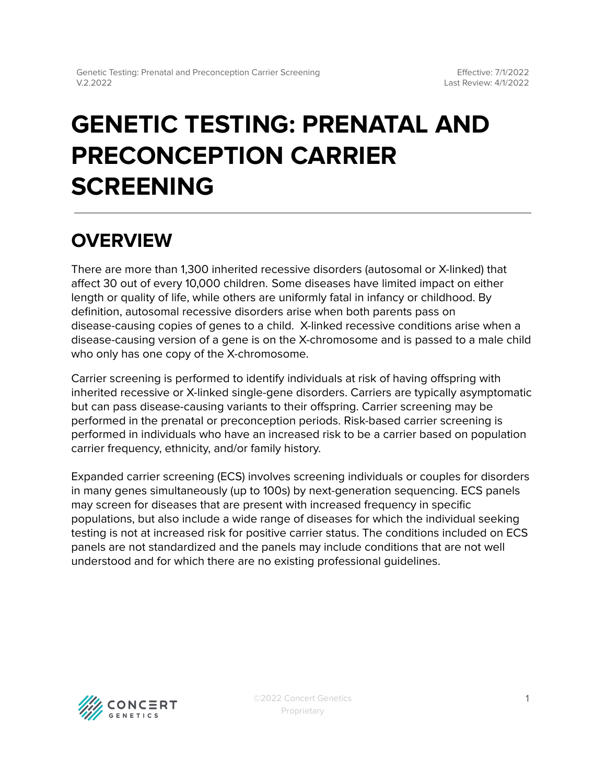# **GENETIC TESTING: PRENATAL AND PRECONCEPTION CARRIER SCREENING**

## **OVERVIEW**

There are more than 1,300 inherited recessive disorders (autosomal or X-linked) that affect 30 out of every 10,000 children. Some diseases have limited impact on either length or quality of life, while others are uniformly fatal in infancy or childhood. By definition, autosomal recessive disorders arise when both parents pass on disease-causing copies of genes to a child. X-linked recessive conditions arise when a disease-causing version of a gene is on the X-chromosome and is passed to a male child who only has one copy of the X-chromosome.

Carrier screening is performed to identify individuals at risk of having offspring with inherited recessive or X-linked single-gene disorders. Carriers are typically asymptomatic but can pass disease-causing variants to their offspring. Carrier screening may be performed in the prenatal or preconception periods. Risk-based carrier screening is performed in individuals who have an increased risk to be a carrier based on population carrier frequency, ethnicity, and/or family history.

Expanded carrier screening (ECS) involves screening individuals or couples for disorders in many genes simultaneously (up to 100s) by next-generation sequencing. ECS panels may screen for diseases that are present with increased frequency in specific populations, but also include a wide range of diseases for which the individual seeking testing is not at increased risk for positive carrier status. The conditions included on ECS panels are not standardized and the panels may include conditions that are not well understood and for which there are no existing professional guidelines.

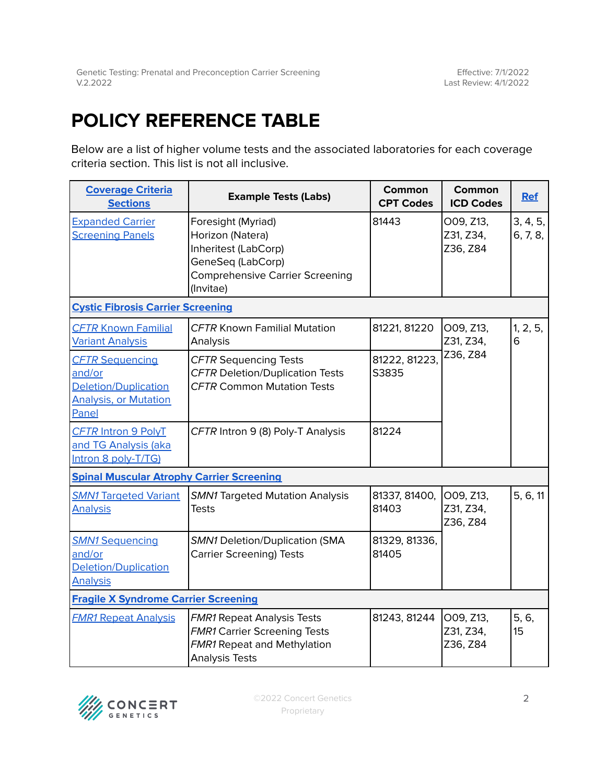Effective: 7/1/2022 Last Review: 4/1/2022

## <span id="page-1-0"></span>**POLICY REFERENCE TABLE**

Below are a list of higher volume tests and the associated laboratories for each coverage criteria section. This list is not all inclusive.

| <b>Coverage Criteria</b><br><b>Sections</b>                                                       | <b>Example Tests (Labs)</b>                                                                                                                | <b>Common</b><br><b>CPT Codes</b> | Common<br><b>ICD Codes</b>         | <b>Ref</b>           |  |  |
|---------------------------------------------------------------------------------------------------|--------------------------------------------------------------------------------------------------------------------------------------------|-----------------------------------|------------------------------------|----------------------|--|--|
| <b>Expanded Carrier</b><br><b>Screening Panels</b>                                                | Foresight (Myriad)<br>Horizon (Natera)<br>Inheritest (LabCorp)<br>GeneSeq (LabCorp)<br><b>Comprehensive Carrier Screening</b><br>(Invitae) | 81443                             | O09, Z13,<br>Z31, Z34,<br>Z36, Z84 | 3, 4, 5,<br>6, 7, 8, |  |  |
| <b>Cystic Fibrosis Carrier Screening</b>                                                          |                                                                                                                                            |                                   |                                    |                      |  |  |
| <b>CFTR Known Familial</b><br><b>Variant Analysis</b>                                             | <b>CFTR Known Familial Mutation</b><br>Analysis                                                                                            | 81221, 81220                      | O09, Z13,<br>Z31, Z34,<br>Z36, Z84 | 1, 2, 5,<br>6        |  |  |
| <b>CFTR Sequencing</b><br>and/or<br>Deletion/Duplication<br><b>Analysis, or Mutation</b><br>Panel | <b>CFTR Sequencing Tests</b><br><b>CFTR Deletion/Duplication Tests</b><br><b>CFTR Common Mutation Tests</b>                                | 81222, 81223,<br>S3835            |                                    |                      |  |  |
| <b>CFTR Intron 9 PolyT</b><br>and TG Analysis (aka<br>Intron 8 poly-T/TG)                         | CFTR Intron 9 (8) Poly-T Analysis                                                                                                          | 81224                             |                                    |                      |  |  |
| <b>Spinal Muscular Atrophy Carrier Screening</b>                                                  |                                                                                                                                            |                                   |                                    |                      |  |  |
| <b>SMN1 Targeted Variant</b><br><b>Analysis</b>                                                   | <b>SMN1 Targeted Mutation Analysis</b><br><b>Tests</b>                                                                                     | 81337, 81400,<br>81403            | O09, Z13,<br>Z31, Z34,<br>Z36, Z84 | 5, 6, 11             |  |  |
| <b>SMN1 Sequencing</b><br>and/or<br>Deletion/Duplication<br><b>Analysis</b>                       | SMN1 Deletion/Duplication (SMA<br><b>Carrier Screening) Tests</b>                                                                          | 81329, 81336,<br>81405            |                                    |                      |  |  |
| <b>Fragile X Syndrome Carrier Screening</b>                                                       |                                                                                                                                            |                                   |                                    |                      |  |  |
| <b>FMR1 Repeat Analysis</b>                                                                       | <b>FMR1</b> Repeat Analysis Tests<br><b>FMR1 Carrier Screening Tests</b><br>FMR1 Repeat and Methylation<br><b>Analysis Tests</b>           | 81243, 81244                      | O09, Z13,<br>Z31, Z34,<br>Z36, Z84 | 5, 6,<br>15          |  |  |

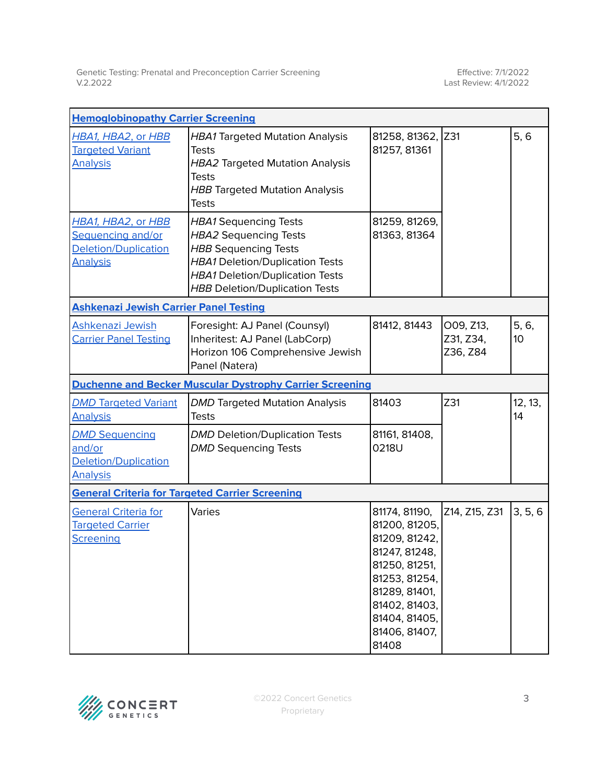| <b>Hemoglobinopathy Carrier Screening</b>                                          |                                                                                                                                                                                                     |                                                                                                                                                                                 |                                    |               |  |  |  |
|------------------------------------------------------------------------------------|-----------------------------------------------------------------------------------------------------------------------------------------------------------------------------------------------------|---------------------------------------------------------------------------------------------------------------------------------------------------------------------------------|------------------------------------|---------------|--|--|--|
| HBA1, HBA2, or HBB<br><b>Targeted Variant</b><br><b>Analysis</b>                   | <b>HBA1</b> Targeted Mutation Analysis<br><b>Tests</b><br>HBA2 Targeted Mutation Analysis<br><b>Tests</b><br><b>HBB Targeted Mutation Analysis</b><br><b>Tests</b>                                  | 81258, 81362,<br>81257, 81361                                                                                                                                                   | Z31                                | 5, 6          |  |  |  |
| HBA1, HBA2, or HBB<br>Sequencing and/or<br>Deletion/Duplication<br><b>Analysis</b> | <b>HBA1</b> Sequencing Tests<br><b>HBA2 Sequencing Tests</b><br><b>HBB Sequencing Tests</b><br>HBA1 Deletion/Duplication Tests<br>HBA1 Deletion/Duplication Tests<br>HBB Deletion/Duplication Tests | 81259, 81269,<br>81363, 81364                                                                                                                                                   |                                    |               |  |  |  |
| <b>Ashkenazi Jewish Carrier Panel Testing</b>                                      |                                                                                                                                                                                                     |                                                                                                                                                                                 |                                    |               |  |  |  |
| Ashkenazi Jewish<br><b>Carrier Panel Testing</b>                                   | Foresight: AJ Panel (Counsyl)<br>Inheritest: AJ Panel (LabCorp)<br>Horizon 106 Comprehensive Jewish<br>Panel (Natera)                                                                               | 81412, 81443                                                                                                                                                                    | O09, Z13,<br>Z31, Z34,<br>Z36, Z84 | 5, 6,<br>10   |  |  |  |
| <b>Duchenne and Becker Muscular Dystrophy Carrier Screening</b>                    |                                                                                                                                                                                                     |                                                                                                                                                                                 |                                    |               |  |  |  |
| <b>DMD Targeted Variant</b><br><b>Analysis</b>                                     | <b>DMD Targeted Mutation Analysis</b><br><b>Tests</b>                                                                                                                                               | 81403                                                                                                                                                                           | Z31                                | 12, 13,<br>14 |  |  |  |
| <b>DMD Sequencing</b><br>and/or<br>Deletion/Duplication<br><b>Analysis</b>         | <b>DMD Deletion/Duplication Tests</b><br><b>DMD Sequencing Tests</b>                                                                                                                                | 81161, 81408,<br>0218U                                                                                                                                                          |                                    |               |  |  |  |
| <b>General Criteria for Targeted Carrier Screening</b>                             |                                                                                                                                                                                                     |                                                                                                                                                                                 |                                    |               |  |  |  |
| <b>General Criteria for</b><br><b>Targeted Carrier</b><br>Screening                | Varies                                                                                                                                                                                              | 81174, 81190,<br>81200, 81205,<br>81209, 81242,<br>81247, 81248,<br>81250, 81251,<br>81253, 81254,<br>81289, 81401,<br>81402, 81403,<br>81404, 81405,<br>81406, 81407,<br>81408 | Z14, Z15, Z31                      | 3, 5, 6       |  |  |  |

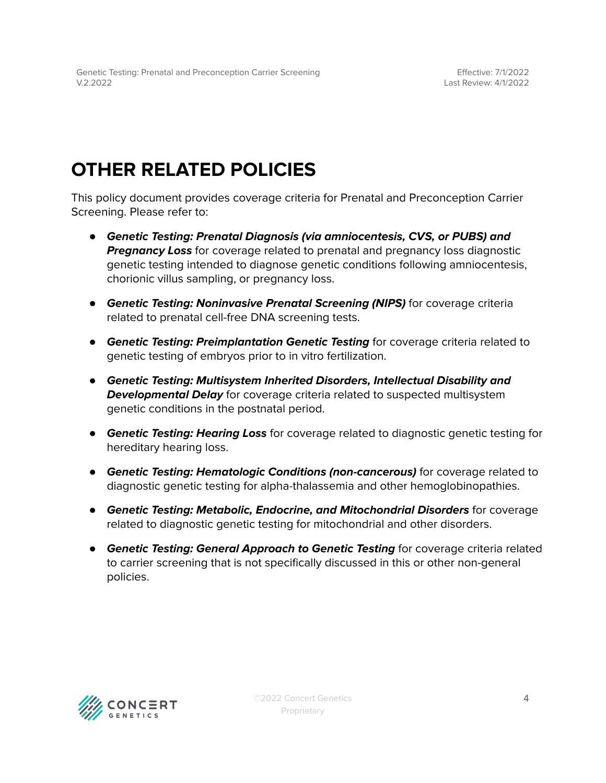## **OTHER RELATED POLICIES**

This policy document provides coverage criteria for Prenatal and Preconception Carrier Screening. Please refer to:

- **Genetic Testing: Prenatal Diagnosis (via amniocentesis, CVS, or PUBS) and Pregnancy Loss** for coverage related to prenatal and pregnancy loss diagnostic genetic testing intended to diagnose genetic conditions following amniocentesis, chorionic villus sampling, or pregnancy loss.
- **Genetic Testing: Noninvasive Prenatal Screening (NIPS)** for coverage criteria related to prenatal cell-free DNA screening tests.
- **Genetic Testing: Preimplantation Genetic Testing** for coverage criteria related to genetic testing of embryos prior to in vitro fertilization.
- **Genetic Testing: Multisystem Inherited Disorders, Intellectual Disability and Developmental Delay** for coverage criteria related to suspected multisystem genetic conditions in the postnatal period.
- **Genetic Testing: Hearing Loss** for coverage related to diagnostic genetic testing for hereditary hearing loss.
- **Genetic Testing: Hematologic Conditions (non-cancerous)** for coverage related to diagnostic genetic testing for alpha-thalassemia and other hemoglobinopathies.
- **Genetic Testing: Metabolic, Endocrine, and Mitochondrial Disorders** for coverage related to diagnostic genetic testing for mitochondrial and other disorders.
- **Genetic Testing: General Approach to Genetic Testing** for coverage criteria related to carrier screening that is not specifically discussed in this or other non-general policies.

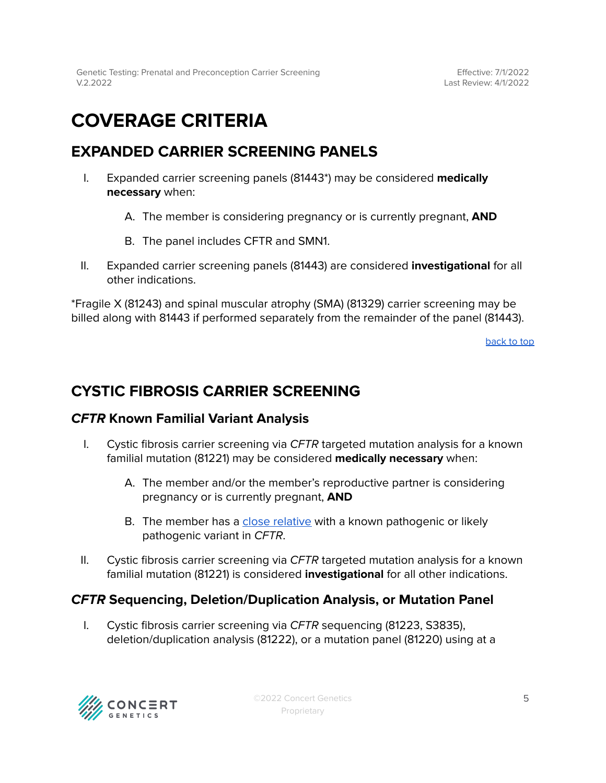## <span id="page-4-0"></span>**COVERAGE CRITERIA**

### <span id="page-4-1"></span>**EXPANDED CARRIER SCREENING PANELS**

- I. Expanded carrier screening panels (81443\*) may be considered **medically necessary** when:
	- A. The member is considering pregnancy or is currently pregnant, **AND**
	- B. The panel includes CFTR and SMN1.
- II. Expanded carrier screening panels (81443) are considered **investigational** for all other indications.

\*Fragile X (81243) and spinal muscular atrophy (SMA) (81329) carrier screening may be billed along with 81443 if performed separately from the remainder of the panel (81443).

[back](#page-1-0) to top

### <span id="page-4-2"></span>**CYSTIC FIBROSIS CARRIER SCREENING**

### <span id="page-4-3"></span>**CFTR Known Familial Variant Analysis**

- I. Cystic fibrosis carrier screening via CFTR targeted mutation analysis for a known familial mutation (81221) may be considered **medically necessary** when:
	- A. The member and/or the member's reproductive partner is considering pregnancy or is currently pregnant, **AND**
	- B. The member has a close [relative](#page-11-0) with a known pathogenic or likely pathogenic variant in CFTR.
- II. Cystic fibrosis carrier screening via CFTR targeted mutation analysis for a known familial mutation (81221) is considered **investigational** for all other indications.

### <span id="page-4-4"></span>**CFTR Sequencing, Deletion/Duplication Analysis, or Mutation Panel**

I. Cystic fibrosis carrier screening via CFTR sequencing (81223, S3835), deletion/duplication analysis (81222), or a mutation panel (81220) using at a

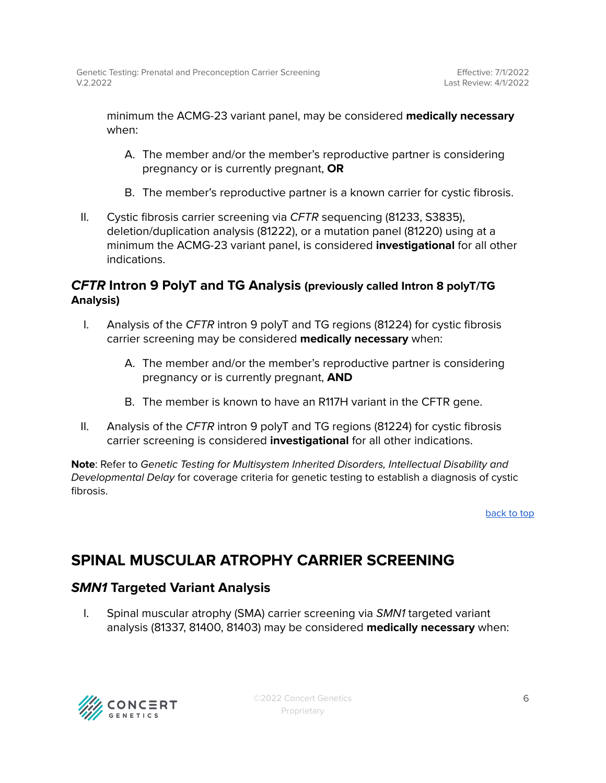minimum the ACMG-23 variant panel, may be considered **medically necessary** when:

- A. The member and/or the member's reproductive partner is considering pregnancy or is currently pregnant, **OR**
- B. The member's reproductive partner is a known carrier for cystic fibrosis.
- II. Cystic fibrosis carrier screening via CFTR sequencing (81233, S3835), deletion/duplication analysis (81222), or a mutation panel (81220) using at a minimum the ACMG-23 variant panel, is considered **investigational** for all other indications.

### <span id="page-5-0"></span>**CFTR Intron 9 PolyT and TG Analysis (previously called Intron 8 polyT/TG Analysis)**

- I. Analysis of the CFTR intron 9 polyT and TG regions (81224) for cystic fibrosis carrier screening may be considered **medically necessary** when:
	- A. The member and/or the member's reproductive partner is considering pregnancy or is currently pregnant, **AND**
	- B. The member is known to have an R117H variant in the CFTR gene.
- II. Analysis of the CFTR intron 9 polyT and TG regions (81224) for cystic fibrosis carrier screening is considered **investigational** for all other indications.

**Note**: Refer to Genetic Testing for Multisystem Inherited Disorders, Intellectual Disability and Developmental Delay for coverage criteria for genetic testing to establish a diagnosis of cystic fibrosis.

[back](#page-1-0) to top

### <span id="page-5-1"></span>**SPINAL MUSCULAR ATROPHY CARRIER SCREENING**

### <span id="page-5-2"></span>**SMN1 Targeted Variant Analysis**

I. Spinal muscular atrophy (SMA) carrier screening via SMN1 targeted variant analysis (81337, 81400, 81403) may be considered **medically necessary** when:

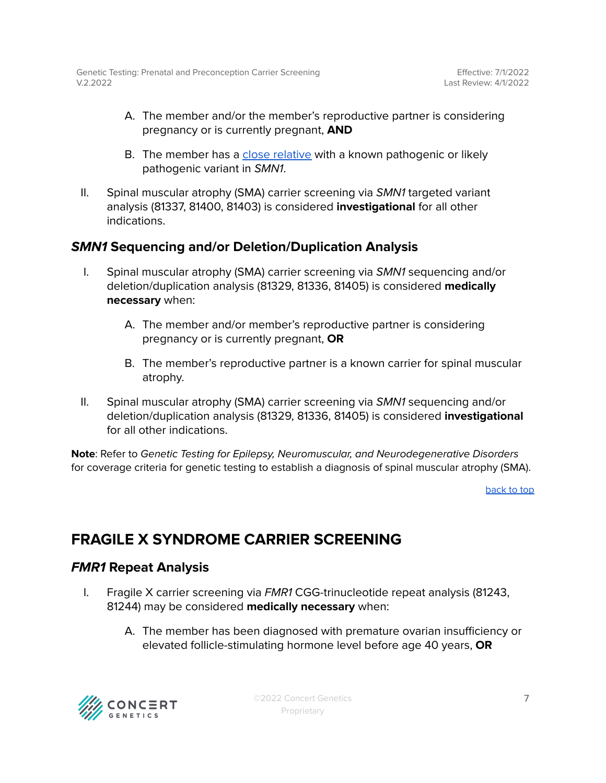- A. The member and/or the member's reproductive partner is considering pregnancy or is currently pregnant, **AND**
- B. The member has a close [relative](#page-11-0) with a known pathogenic or likely pathogenic variant in SMN1.
- II. Spinal muscular atrophy (SMA) carrier screening via SMN1 targeted variant analysis (81337, 81400, 81403) is considered **investigational** for all other indications.

### <span id="page-6-0"></span>**SMN1 Sequencing and/or Deletion/Duplication Analysis**

- I. Spinal muscular atrophy (SMA) carrier screening via SMN1 sequencing and/or deletion/duplication analysis (81329, 81336, 81405) is considered **medically necessary** when:
	- A. The member and/or member's reproductive partner is considering pregnancy or is currently pregnant, **OR**
	- B. The member's reproductive partner is a known carrier for spinal muscular atrophy.
- II. Spinal muscular atrophy (SMA) carrier screening via SMN1 sequencing and/or deletion/duplication analysis (81329, 81336, 81405) is considered **investigational** for all other indications.

**Note**: Refer to Genetic Testing for Epilepsy, Neuromuscular, and Neurodegenerative Disorders for coverage criteria for genetic testing to establish a diagnosis of spinal muscular atrophy (SMA).

[back](#page-1-0) to top

### <span id="page-6-1"></span>**FRAGILE X SYNDROME CARRIER SCREENING**

### <span id="page-6-2"></span>**FMR1 Repeat Analysis**

- I. Fragile X carrier screening via FMR1 CGG-trinucleotide repeat analysis (81243, 81244) may be considered **medically necessary** when:
	- A. The member has been diagnosed with premature ovarian insufficiency or elevated follicle-stimulating hormone level before age 40 years, **OR**

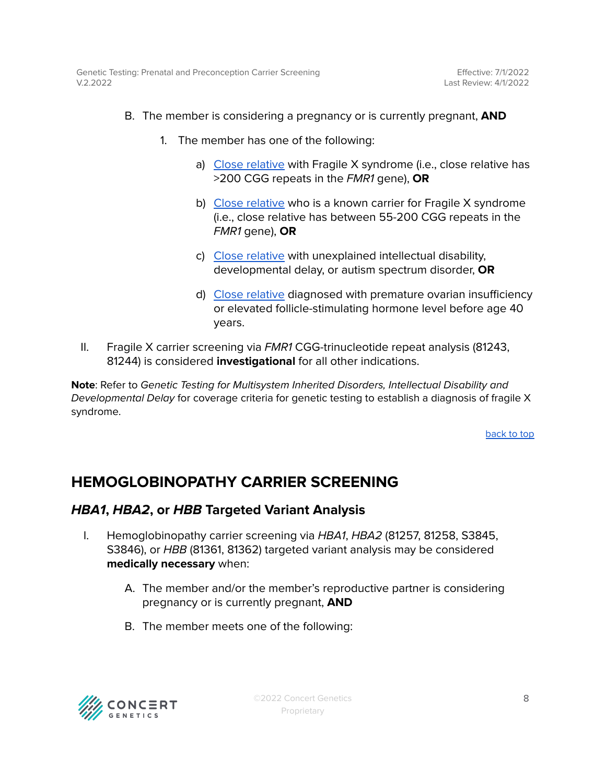- B. The member is considering a pregnancy or is currently pregnant, **AND**
	- 1. The member has one of the following:
		- a) Close [relative](#page-11-0) with Fragile X syndrome (i.e., close relative has >200 CGG repeats in the FMR1 gene), **OR**
		- b) Close [relative](#page-11-0) who is a known carrier for Fragile X syndrome (i.e., close relative has between 55-200 CGG repeats in the FMR1 gene), **OR**
		- c) Close [relative](#page-11-0) with unexplained intellectual disability, developmental delay, or autism spectrum disorder, **OR**
		- d) Close [relative](#page-11-0) diagnosed with premature ovarian insufficiency or elevated follicle-stimulating hormone level before age 40 years.
- II. Fragile X carrier screening via *FMR1* CGG-trinucleotide repeat analysis (81243, 81244) is considered **investigational** for all other indications.

**Note**: Refer to Genetic Testing for Multisystem Inherited Disorders, Intellectual Disability and Developmental Delay for coverage criteria for genetic testing to establish a diagnosis of fragile X syndrome.

[back](#page-1-0) to top

### <span id="page-7-0"></span>**HEMOGLOBINOPATHY CARRIER SCREENING**

### <span id="page-7-1"></span>**HBA1, HBA2, or HBB Targeted Variant Analysis**

- I. Hemoglobinopathy carrier screening via HBA1, HBA2 (81257, 81258, S3845, S3846), or HBB (81361, 81362) targeted variant analysis may be considered **medically necessary** when:
	- A. The member and/or the member's reproductive partner is considering pregnancy or is currently pregnant, **AND**
	- B. The member meets one of the following:

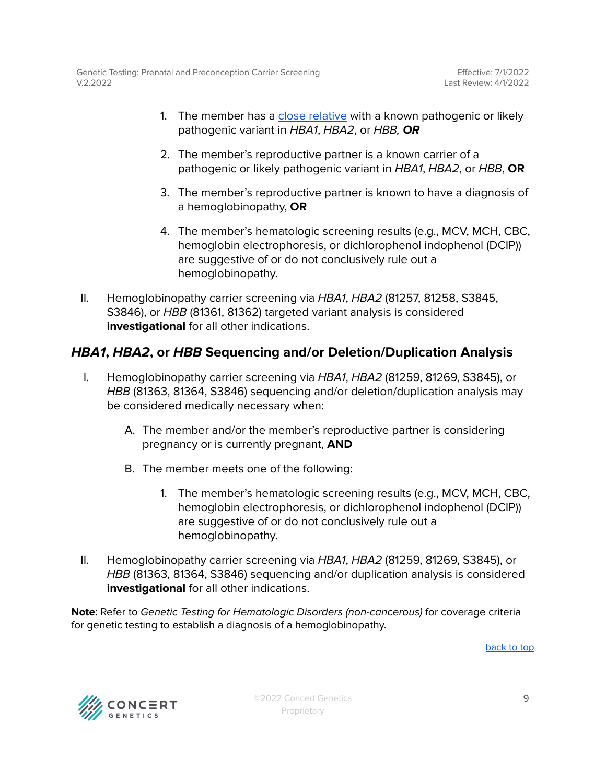- 1. The member has a close [relative](#page-11-0) with a known pathogenic or likely pathogenic variant in HBA1, HBA2, or HBB, **OR**
- 2. The member's reproductive partner is a known carrier of a pathogenic or likely pathogenic variant in HBA1, HBA2, or HBB, **OR**
- 3. The member's reproductive partner is known to have a diagnosis of a hemoglobinopathy, **OR**
- 4. The member's hematologic screening results (e.g., MCV, MCH, CBC, hemoglobin electrophoresis, or dichlorophenol indophenol (DCIP)) are suggestive of or do not conclusively rule out a hemoglobinopathy.
- II. Hemoglobinopathy carrier screening via HBA1, HBA2 (81257, 81258, S3845, S3846), or HBB (81361, 81362) targeted variant analysis is considered **investigational** for all other indications.

### <span id="page-8-0"></span>**HBA1, HBA2, or HBB Sequencing and/or Deletion/Duplication Analysis**

- I. Hemoglobinopathy carrier screening via HBA1, HBA2 (81259, 81269, S3845), or HBB (81363, 81364, S3846) sequencing and/or deletion/duplication analysis may be considered medically necessary when:
	- A. The member and/or the member's reproductive partner is considering pregnancy or is currently pregnant, **AND**
	- B. The member meets one of the following:
		- 1. The member's hematologic screening results (e.g., MCV, MCH, CBC, hemoglobin electrophoresis, or dichlorophenol indophenol (DCIP)) are suggestive of or do not conclusively rule out a hemoglobinopathy.
- II. Hemoglobinopathy carrier screening via HBA1, HBA2 (81259, 81269, S3845), or HBB (81363, 81364, S3846) sequencing and/or duplication analysis is considered **investigational** for all other indications.

**Note**: Refer to Genetic Testing for Hematologic Disorders (non-cancerous) for coverage criteria for genetic testing to establish a diagnosis of a hemoglobinopathy.

[back](#page-1-0) to top



©2022 Concert Genetics Proprietary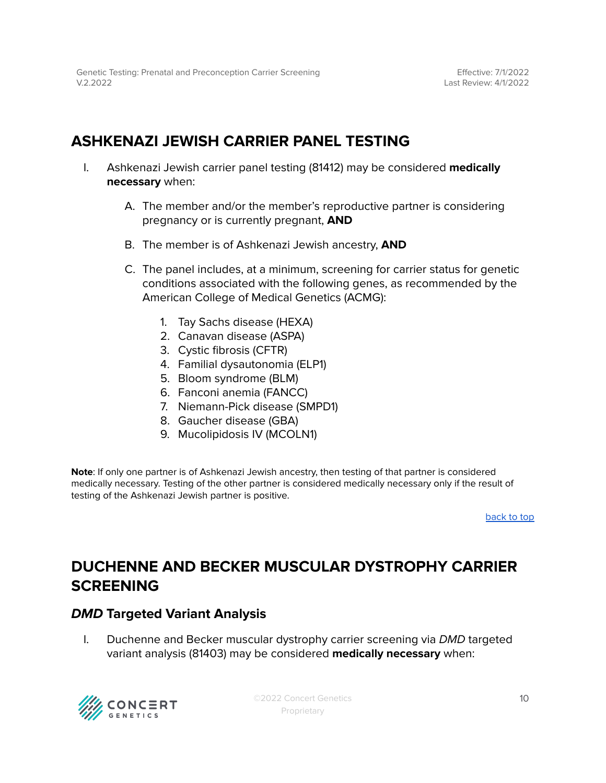### <span id="page-9-0"></span>**ASHKENAZI JEWISH CARRIER PANEL TESTING**

- I. Ashkenazi Jewish carrier panel testing (81412) may be considered **medically necessary** when:
	- A. The member and/or the member's reproductive partner is considering pregnancy or is currently pregnant, **AND**
	- B. The member is of Ashkenazi Jewish ancestry, **AND**
	- C. The panel includes, at a minimum, screening for carrier status for genetic conditions associated with the following genes, as recommended by the American College of Medical Genetics (ACMG):
		- 1. Tay Sachs disease (HEXA)
		- 2. Canavan disease (ASPA)
		- 3. Cystic fibrosis (CFTR)
		- 4. Familial dysautonomia (ELP1)
		- 5. Bloom syndrome (BLM)
		- 6. Fanconi anemia (FANCC)
		- 7. Niemann-Pick disease (SMPD1)
		- 8. Gaucher disease (GBA)
		- 9. Mucolipidosis IV (MCOLN1)

**Note**: If only one partner is of Ashkenazi Jewish ancestry, then testing of that partner is considered medically necessary. Testing of the other partner is considered medically necessary only if the result of testing of the Ashkenazi Jewish partner is positive.

[back](#page-1-0) to top

### <span id="page-9-1"></span>**DUCHENNE AND BECKER MUSCULAR DYSTROPHY CARRIER SCREENING**

### <span id="page-9-2"></span>**DMD Targeted Variant Analysis**

I. Duchenne and Becker muscular dystrophy carrier screening via DMD targeted variant analysis (81403) may be considered **medically necessary** when:

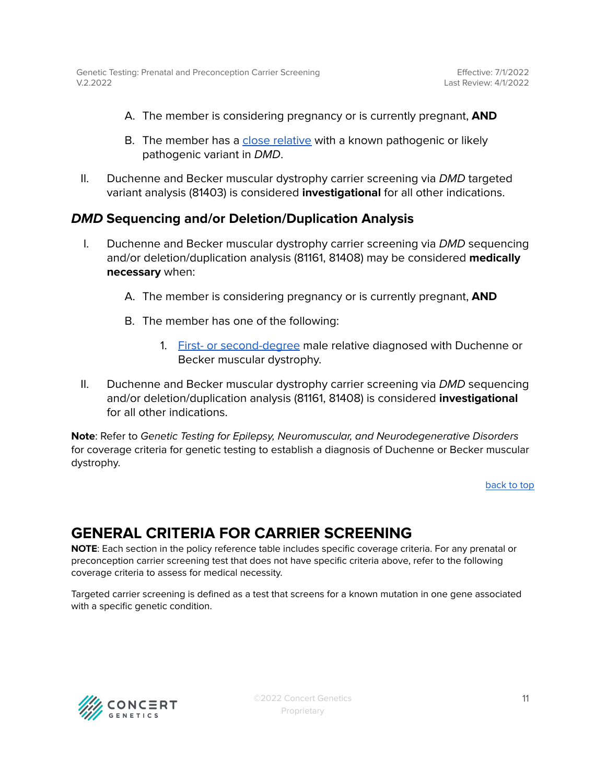- A. The member is considering pregnancy or is currently pregnant, **AND**
- B. The member has a close [relative](#page-11-0) with a known pathogenic or likely pathogenic variant in DMD.
- II. Duchenne and Becker muscular dystrophy carrier screening via DMD targeted variant analysis (81403) is considered **investigational** for all other indications.

### <span id="page-10-0"></span>**DMD Sequencing and/or Deletion/Duplication Analysis**

- I. Duchenne and Becker muscular dystrophy carrier screening via DMD sequencing and/or deletion/duplication analysis (81161, 81408) may be considered **medically necessary** when:
	- A. The member is considering pregnancy or is currently pregnant, **AND**
	- B. The member has one of the following:
		- 1. First- or [second-degree](#page-11-0) male relative diagnosed with Duchenne or Becker muscular dystrophy.
- II. Duchenne and Becker muscular dystrophy carrier screening via DMD sequencing and/or deletion/duplication analysis (81161, 81408) is considered **investigational** for all other indications.

**Note**: Refer to Genetic Testing for Epilepsy, Neuromuscular, and Neurodegenerative Disorders for coverage criteria for genetic testing to establish a diagnosis of Duchenne or Becker muscular dystrophy.

[back](#page-1-0) to top

### <span id="page-10-1"></span>**GENERAL CRITERIA FOR CARRIER SCREENING**

**NOTE**: Each section in the policy reference table includes specific coverage criteria. For any prenatal or preconception carrier screening test that does not have specific criteria above, refer to the following coverage criteria to assess for medical necessity.

Targeted carrier screening is defined as a test that screens for a known mutation in one gene associated with a specific genetic condition.

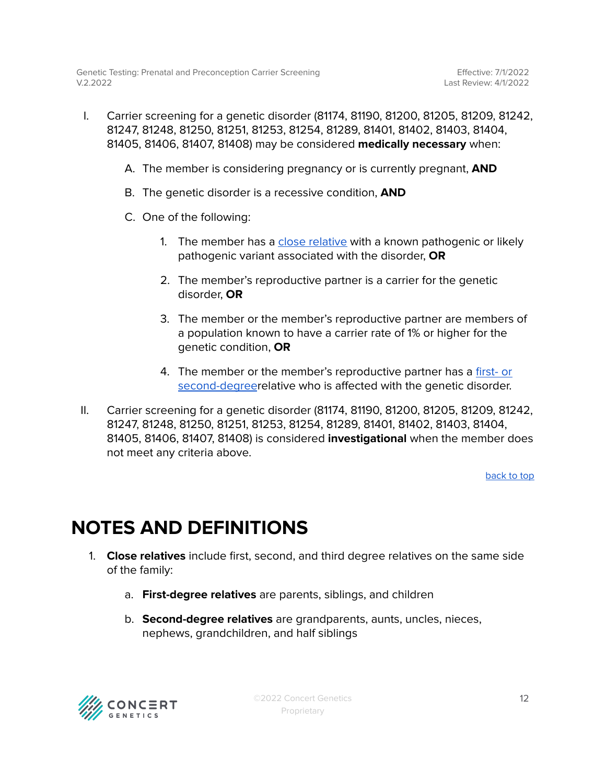- I. Carrier screening for a genetic disorder (81174, 81190, 81200, 81205, 81209, 81242, 81247, 81248, 81250, 81251, 81253, 81254, 81289, 81401, 81402, 81403, 81404, 81405, 81406, 81407, 81408) may be considered **medically necessary** when:
	- A. The member is considering pregnancy or is currently pregnant, **AND**
	- B. The genetic disorder is a recessive condition, **AND**
	- C. One of the following:
		- 1. The member has a close [relative](#page-11-0) with a known pathogenic or likely pathogenic variant associated with the disorder, **OR**
		- 2. The member's reproductive partner is a carrier for the genetic disorder, **OR**
		- 3. The member or the member's reproductive partner are members of a population known to have a carrier rate of 1% or higher for the genetic condition, **OR**
		- 4. The member or the member's reproductive partner has a [first-](#page-11-0) or [second-degree](#page-11-0)relative who is affected with the genetic disorder.
- II. Carrier screening for a genetic disorder (81174, 81190, 81200, 81205, 81209, 81242, 81247, 81248, 81250, 81251, 81253, 81254, 81289, 81401, 81402, 81403, 81404, 81405, 81406, 81407, 81408) is considered **investigational** when the member does not meet any criteria above.

[back](#page-1-0) to top

## <span id="page-11-0"></span>**NOTES AND DEFINITIONS**

- 1. **Close relatives** include first, second, and third degree relatives on the same side of the family:
	- a. **First-degree relatives** are parents, siblings, and children
	- b. **Second-degree relatives** are grandparents, aunts, uncles, nieces, nephews, grandchildren, and half siblings

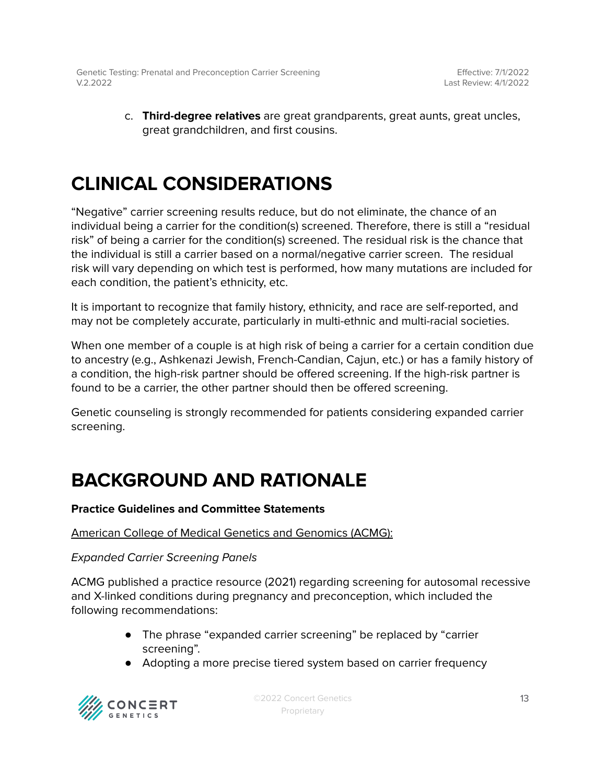c. **Third-degree relatives** are great grandparents, great aunts, great uncles, great grandchildren, and first cousins.

## **CLINICAL CONSIDERATIONS**

"Negative" carrier screening results reduce, but do not eliminate, the chance of an individual being a carrier for the condition(s) screened. Therefore, there is still a "residual risk" of being a carrier for the condition(s) screened. The residual risk is the chance that the individual is still a carrier based on a normal/negative carrier screen. The residual risk will vary depending on which test is performed, how many mutations are included for each condition, the patient's ethnicity, etc.

It is important to recognize that family history, ethnicity, and race are self-reported, and may not be completely accurate, particularly in multi-ethnic and multi-racial societies.

When one member of a couple is at high risk of being a carrier for a certain condition due to ancestry (e.g., Ashkenazi Jewish, French-Candian, Cajun, etc.) or has a family history of a condition, the high-risk partner should be offered screening. If the high-risk partner is found to be a carrier, the other partner should then be offered screening.

Genetic counseling is strongly recommended for patients considering expanded carrier screening.

## **BACKGROUND AND RATIONALE**

### **Practice Guidelines and Committee Statements**

### American College of Medical Genetics and Genomics (ACMG):

### Expanded Carrier Screening Panels

ACMG published a practice resource (2021) regarding screening for autosomal recessive and X-linked conditions during pregnancy and preconception, which included the following recommendations:

- The phrase "expanded carrier screening" be replaced by "carrier screening".
- Adopting a more precise tiered system based on carrier frequency

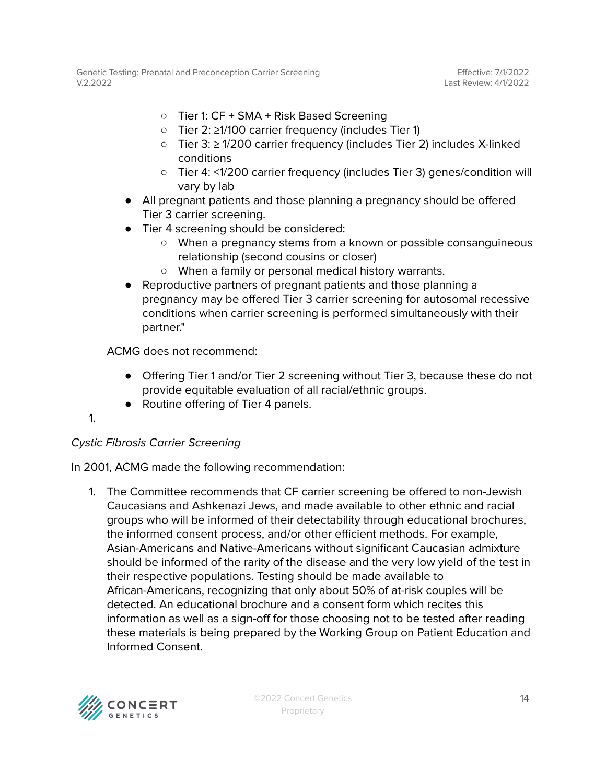- Tier 1: CF + SMA + Risk Based Screening
- Tier 2: ≥1/100 carrier frequency (includes Tier 1)
- Tier 3: ≥ 1/200 carrier frequency (includes Tier 2) includes X-linked conditions
- Tier 4: <1/200 carrier frequency (includes Tier 3) genes/condition will vary by lab
- All pregnant patients and those planning a pregnancy should be offered Tier 3 carrier screening.
- Tier 4 screening should be considered:
	- When a pregnancy stems from a known or possible consanguineous relationship (second cousins or closer)
	- When a family or personal medical history warrants.
- Reproductive partners of pregnant patients and those planning a pregnancy may be offered Tier 3 carrier screening for autosomal recessive conditions when carrier screening is performed simultaneously with their partner."

ACMG does not recommend:

- Offering Tier 1 and/or Tier 2 screening without Tier 3, because these do not provide equitable evaluation of all racial/ethnic groups.
- Routine offering of Tier 4 panels.
- 1.

### Cystic Fibrosis Carrier Screening

In 2001, ACMG made the following recommendation:

1. The Committee recommends that CF carrier screening be offered to non-Jewish Caucasians and Ashkenazi Jews, and made available to other ethnic and racial groups who will be informed of their detectability through educational brochures, the informed consent process, and/or other efficient methods. For example, Asian-Americans and Native-Americans without significant Caucasian admixture should be informed of the rarity of the disease and the very low yield of the test in their respective populations. Testing should be made available to African-Americans, recognizing that only about 50% of at-risk couples will be detected. An educational brochure and a consent form which recites this information as well as a sign-off for those choosing not to be tested after reading these materials is being prepared by the Working Group on Patient Education and Informed Consent.

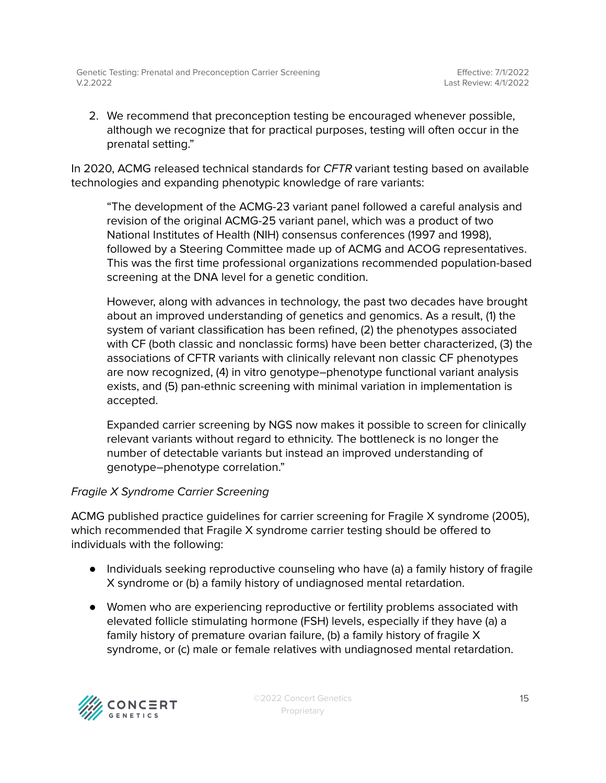2. We recommend that preconception testing be encouraged whenever possible, although we recognize that for practical purposes, testing will often occur in the prenatal setting."

In 2020, ACMG released technical standards for CFTR variant testing based on available technologies and expanding phenotypic knowledge of rare variants:

"The development of the ACMG-23 variant panel followed a careful analysis and revision of the original ACMG-25 variant panel, which was a product of two National Institutes of Health (NIH) consensus conferences (1997 and 1998), followed by a Steering Committee made up of ACMG and ACOG representatives. This was the first time professional organizations recommended population-based screening at the DNA level for a genetic condition.

However, along with advances in technology, the past two decades have brought about an improved understanding of genetics and genomics. As a result, (1) the system of variant classification has been refined, (2) the phenotypes associated with CF (both classic and nonclassic forms) have been better characterized, (3) the associations of CFTR variants with clinically relevant non classic CF phenotypes are now recognized, (4) in vitro genotype–phenotype functional variant analysis exists, and (5) pan-ethnic screening with minimal variation in implementation is accepted.

Expanded carrier screening by NGS now makes it possible to screen for clinically relevant variants without regard to ethnicity. The bottleneck is no longer the number of detectable variants but instead an improved understanding of genotype–phenotype correlation."

### Fragile X Syndrome Carrier Screening

ACMG published practice guidelines for carrier screening for Fragile X syndrome (2005), which recommended that Fragile X syndrome carrier testing should be offered to individuals with the following:

- Individuals seeking reproductive counseling who have (a) a family history of fragile X syndrome or (b) a family history of undiagnosed mental retardation.
- Women who are experiencing reproductive or fertility problems associated with elevated follicle stimulating hormone (FSH) levels, especially if they have (a) a family history of premature ovarian failure, (b) a family history of fragile X syndrome, or (c) male or female relatives with undiagnosed mental retardation.

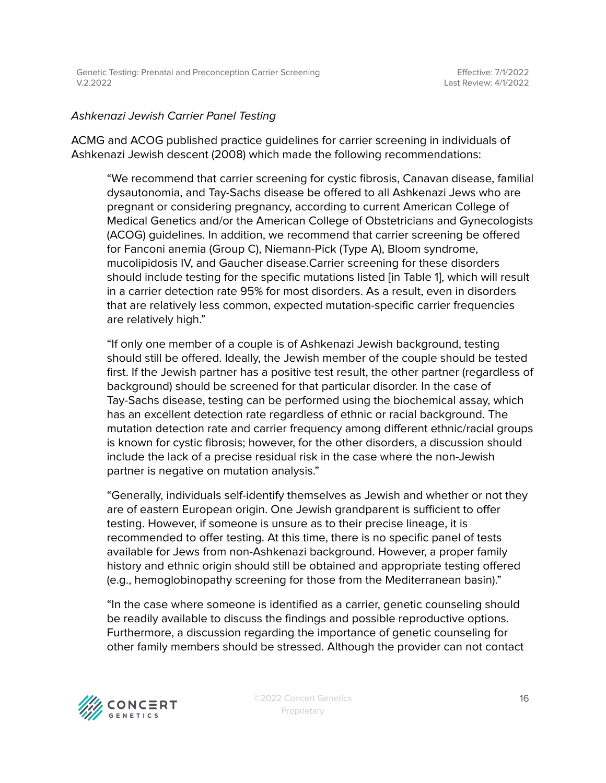#### Ashkenazi Jewish Carrier Panel Testing

ACMG and ACOG published practice guidelines for carrier screening in individuals of Ashkenazi Jewish descent (2008) which made the following recommendations:

"We recommend that carrier screening for cystic fibrosis, Canavan disease, familial dysautonomia, and Tay-Sachs disease be offered to all Ashkenazi Jews who are pregnant or considering pregnancy, according to current American College of Medical Genetics and/or the American College of Obstetricians and Gynecologists (ACOG) guidelines. In addition, we recommend that carrier screening be offered for Fanconi anemia (Group C), Niemann-Pick (Type A), Bloom syndrome, mucolipidosis IV, and Gaucher disease.Carrier screening for these disorders should include testing for the specific mutations listed [in Table 1], which will result in a carrier detection rate 95% for most disorders. As a result, even in disorders that are relatively less common, expected mutation-specific carrier frequencies are relatively high."

"If only one member of a couple is of Ashkenazi Jewish background, testing should still be offered. Ideally, the Jewish member of the couple should be tested first. If the Jewish partner has a positive test result, the other partner (regardless of background) should be screened for that particular disorder. In the case of Tay-Sachs disease, testing can be performed using the biochemical assay, which has an excellent detection rate regardless of ethnic or racial background. The mutation detection rate and carrier frequency among different ethnic/racial groups is known for cystic fibrosis; however, for the other disorders, a discussion should include the lack of a precise residual risk in the case where the non-Jewish partner is negative on mutation analysis."

"Generally, individuals self-identify themselves as Jewish and whether or not they are of eastern European origin. One Jewish grandparent is sufficient to offer testing. However, if someone is unsure as to their precise lineage, it is recommended to offer testing. At this time, there is no specific panel of tests available for Jews from non-Ashkenazi background. However, a proper family history and ethnic origin should still be obtained and appropriate testing offered (e.g., hemoglobinopathy screening for those from the Mediterranean basin)."

"In the case where someone is identified as a carrier, genetic counseling should be readily available to discuss the findings and possible reproductive options. Furthermore, a discussion regarding the importance of genetic counseling for other family members should be stressed. Although the provider can not contact

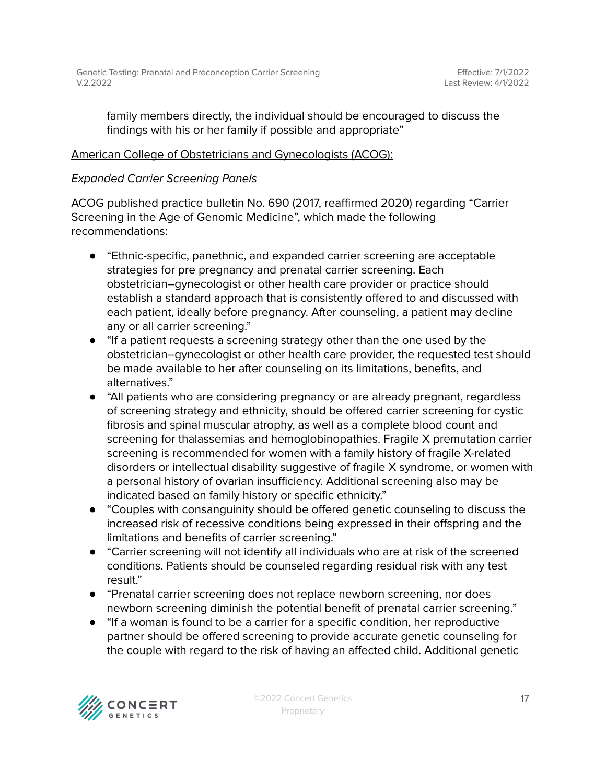family members directly, the individual should be encouraged to discuss the findings with his or her family if possible and appropriate"

### American College of Obstetricians and Gynecologists (ACOG):

### Expanded Carrier Screening Panels

ACOG published practice bulletin No. 690 (2017, reaffirmed 2020) regarding "Carrier Screening in the Age of Genomic Medicine", which made the following recommendations:

- "Ethnic-specific, panethnic, and expanded carrier screening are acceptable strategies for pre pregnancy and prenatal carrier screening. Each obstetrician–gynecologist or other health care provider or practice should establish a standard approach that is consistently offered to and discussed with each patient, ideally before pregnancy. After counseling, a patient may decline any or all carrier screening."
- "If a patient requests a screening strategy other than the one used by the obstetrician–gynecologist or other health care provider, the requested test should be made available to her after counseling on its limitations, benefits, and alternatives."
- "All patients who are considering pregnancy or are already pregnant, regardless of screening strategy and ethnicity, should be offered carrier screening for cystic fibrosis and spinal muscular atrophy, as well as a complete blood count and screening for thalassemias and hemoglobinopathies. Fragile X premutation carrier screening is recommended for women with a family history of fragile X-related disorders or intellectual disability suggestive of fragile X syndrome, or women with a personal history of ovarian insufficiency. Additional screening also may be indicated based on family history or specific ethnicity."
- "Couples with consanguinity should be offered genetic counseling to discuss the increased risk of recessive conditions being expressed in their offspring and the limitations and benefits of carrier screening."
- "Carrier screening will not identify all individuals who are at risk of the screened conditions. Patients should be counseled regarding residual risk with any test result."
- "Prenatal carrier screening does not replace newborn screening, nor does newborn screening diminish the potential benefit of prenatal carrier screening."
- "If a woman is found to be a carrier for a specific condition, her reproductive partner should be offered screening to provide accurate genetic counseling for the couple with regard to the risk of having an affected child. Additional genetic

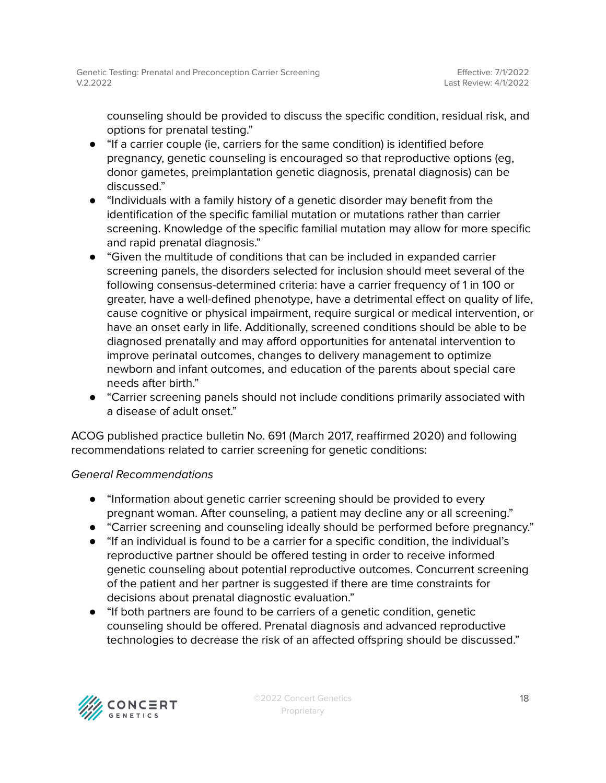counseling should be provided to discuss the specific condition, residual risk, and options for prenatal testing."

- "If a carrier couple (ie, carriers for the same condition) is identified before pregnancy, genetic counseling is encouraged so that reproductive options (eg, donor gametes, preimplantation genetic diagnosis, prenatal diagnosis) can be discussed."
- "Individuals with a family history of a genetic disorder may benefit from the identification of the specific familial mutation or mutations rather than carrier screening. Knowledge of the specific familial mutation may allow for more specific and rapid prenatal diagnosis."
- "Given the multitude of conditions that can be included in expanded carrier screening panels, the disorders selected for inclusion should meet several of the following consensus-determined criteria: have a carrier frequency of 1 in 100 or greater, have a well-defined phenotype, have a detrimental effect on quality of life, cause cognitive or physical impairment, require surgical or medical intervention, or have an onset early in life. Additionally, screened conditions should be able to be diagnosed prenatally and may afford opportunities for antenatal intervention to improve perinatal outcomes, changes to delivery management to optimize newborn and infant outcomes, and education of the parents about special care needs after birth."
- "Carrier screening panels should not include conditions primarily associated with a disease of adult onset."

ACOG published practice bulletin No. 691 (March 2017, reaffirmed 2020) and following recommendations related to carrier screening for genetic conditions:

### General Recommendations

- "Information about genetic carrier screening should be provided to every pregnant woman. After counseling, a patient may decline any or all screening."
- "Carrier screening and counseling ideally should be performed before pregnancy."
- "If an individual is found to be a carrier for a specific condition, the individual's reproductive partner should be offered testing in order to receive informed genetic counseling about potential reproductive outcomes. Concurrent screening of the patient and her partner is suggested if there are time constraints for decisions about prenatal diagnostic evaluation."
- "If both partners are found to be carriers of a genetic condition, genetic counseling should be offered. Prenatal diagnosis and advanced reproductive technologies to decrease the risk of an affected offspring should be discussed."

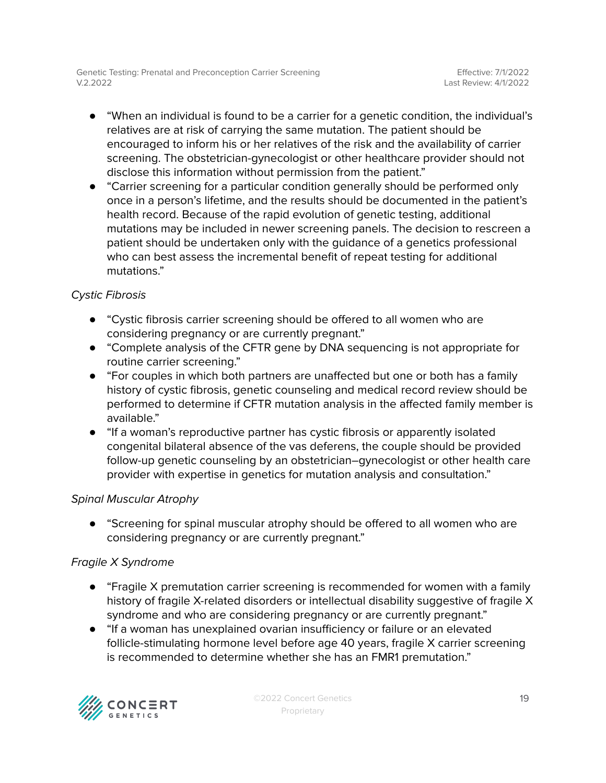- "When an individual is found to be a carrier for a genetic condition, the individual's relatives are at risk of carrying the same mutation. The patient should be encouraged to inform his or her relatives of the risk and the availability of carrier screening. The obstetrician-gynecologist or other healthcare provider should not disclose this information without permission from the patient."
- "Carrier screening for a particular condition generally should be performed only once in a person's lifetime, and the results should be documented in the patient's health record. Because of the rapid evolution of genetic testing, additional mutations may be included in newer screening panels. The decision to rescreen a patient should be undertaken only with the guidance of a genetics professional who can best assess the incremental benefit of repeat testing for additional mutations."

### Cystic Fibrosis

- "Cystic fibrosis carrier screening should be offered to all women who are considering pregnancy or are currently pregnant."
- "Complete analysis of the CFTR gene by DNA sequencing is not appropriate for routine carrier screening."
- "For couples in which both partners are unaffected but one or both has a family history of cystic fibrosis, genetic counseling and medical record review should be performed to determine if CFTR mutation analysis in the affected family member is available."
- "If a woman's reproductive partner has cystic fibrosis or apparently isolated congenital bilateral absence of the vas deferens, the couple should be provided follow-up genetic counseling by an obstetrician–gynecologist or other health care provider with expertise in genetics for mutation analysis and consultation."

### Spinal Muscular Atrophy

● "Screening for spinal muscular atrophy should be offered to all women who are considering pregnancy or are currently pregnant."

### Fragile X Syndrome

- "Fragile X premutation carrier screening is recommended for women with a family history of fragile X-related disorders or intellectual disability suggestive of fragile X syndrome and who are considering pregnancy or are currently pregnant."
- "If a woman has unexplained ovarian insufficiency or failure or an elevated follicle-stimulating hormone level before age 40 years, fragile X carrier screening is recommended to determine whether she has an FMR1 premutation."

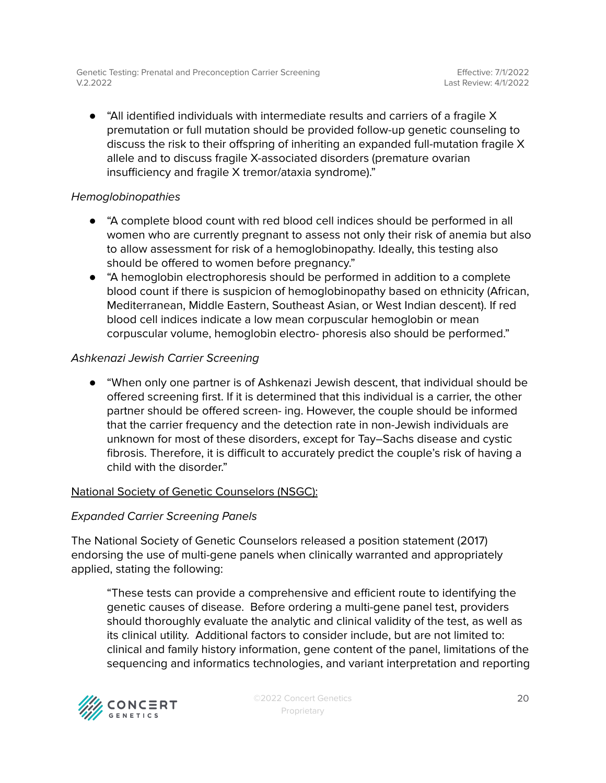● "All identified individuals with intermediate results and carriers of a fragile X premutation or full mutation should be provided follow-up genetic counseling to discuss the risk to their offspring of inheriting an expanded full-mutation fragile X allele and to discuss fragile X-associated disorders (premature ovarian insufficiency and fragile X tremor/ataxia syndrome)."

### **Hemoglobinopathies**

- "A complete blood count with red blood cell indices should be performed in all women who are currently pregnant to assess not only their risk of anemia but also to allow assessment for risk of a hemoglobinopathy. Ideally, this testing also should be offered to women before pregnancy."
- "A hemoglobin electrophoresis should be performed in addition to a complete blood count if there is suspicion of hemoglobinopathy based on ethnicity (African, Mediterranean, Middle Eastern, Southeast Asian, or West Indian descent). If red blood cell indices indicate a low mean corpuscular hemoglobin or mean corpuscular volume, hemoglobin electro- phoresis also should be performed."

### Ashkenazi Jewish Carrier Screening

● "When only one partner is of Ashkenazi Jewish descent, that individual should be offered screening first. If it is determined that this individual is a carrier, the other partner should be offered screen- ing. However, the couple should be informed that the carrier frequency and the detection rate in non-Jewish individuals are unknown for most of these disorders, except for Tay–Sachs disease and cystic fibrosis. Therefore, it is difficult to accurately predict the couple's risk of having a child with the disorder."

### National Society of Genetic Counselors (NSGC):

### Expanded Carrier Screening Panels

The National Society of Genetic Counselors released a position statement (2017) endorsing the use of multi-gene panels when clinically warranted and appropriately applied, stating the following:

"These tests can provide a comprehensive and efficient route to identifying the genetic causes of disease. Before ordering a multi-gene panel test, providers should thoroughly evaluate the analytic and clinical validity of the test, as well as its clinical utility. Additional factors to consider include, but are not limited to: clinical and family history information, gene content of the panel, limitations of the sequencing and informatics technologies, and variant interpretation and reporting

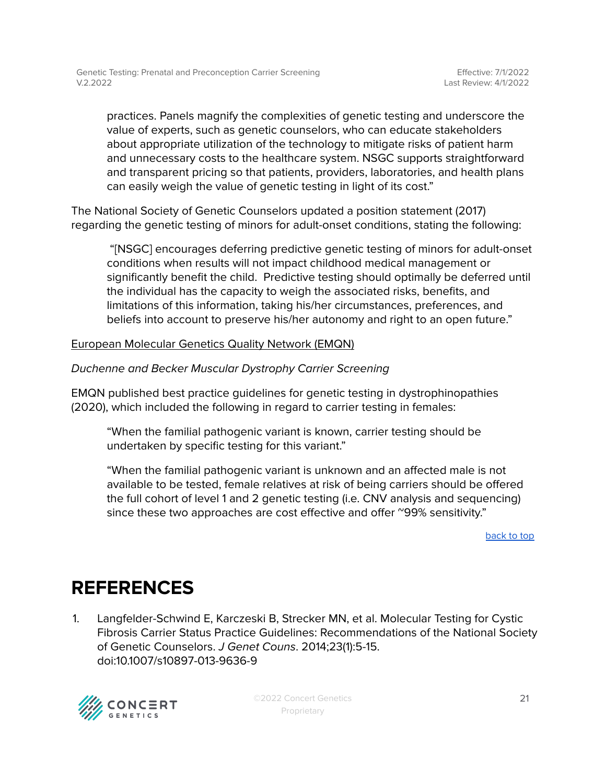practices. Panels magnify the complexities of genetic testing and underscore the value of experts, such as genetic counselors, who can educate stakeholders about appropriate utilization of the technology to mitigate risks of patient harm and unnecessary costs to the healthcare system. NSGC supports straightforward and transparent pricing so that patients, providers, laboratories, and health plans can easily weigh the value of genetic testing in light of its cost."

The National Society of Genetic Counselors updated a position statement (2017) regarding the genetic testing of minors for adult-onset conditions, stating the following:

"[NSGC] encourages deferring predictive genetic testing of minors for adult-onset conditions when results will not impact childhood medical management or significantly benefit the child. Predictive testing should optimally be deferred until the individual has the capacity to weigh the associated risks, benefits, and limitations of this information, taking his/her circumstances, preferences, and beliefs into account to preserve his/her autonomy and right to an open future."

European Molecular Genetics Quality Network (EMQN)

### Duchenne and Becker Muscular Dystrophy Carrier Screening

EMQN published best practice guidelines for genetic testing in dystrophinopathies (2020), which included the following in regard to carrier testing in females:

"When the familial pathogenic variant is known, carrier testing should be undertaken by specific testing for this variant."

"When the familial pathogenic variant is unknown and an affected male is not available to be tested, female relatives at risk of being carriers should be offered the full cohort of level 1 and 2 genetic testing (i.e. CNV analysis and sequencing) since these two approaches are cost effective and offer ~99% sensitivity."

[back](#page-1-0) to top

## <span id="page-20-0"></span>**REFERENCES**

1. Langfelder-Schwind E, Karczeski B, Strecker MN, et al. Molecular Testing for Cystic Fibrosis Carrier Status Practice Guidelines: Recommendations of the National Society of Genetic Counselors. J Genet Couns. 2014;23(1):5-15. doi:10.1007/s10897-013-9636-9



©2022 Concert Genetics Proprietary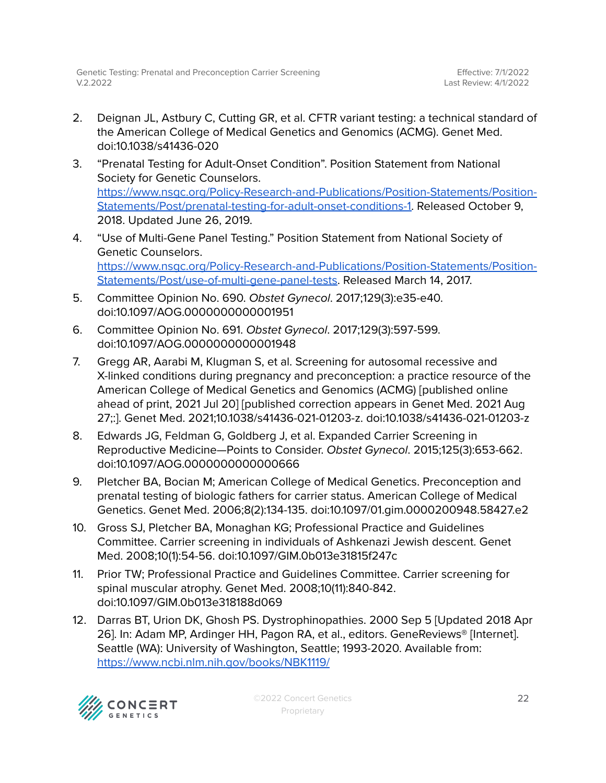- 2. Deignan JL, Astbury C, Cutting GR, et al. CFTR variant testing: a technical standard of the American College of Medical Genetics and Genomics (ACMG). Genet Med. doi:10.1038/s41436-020
- 3. "Prenatal Testing for Adult-Onset Condition". Position Statement from National Society for Genetic Counselors. [https://www.nsgc.org/Policy-Research-and-Publications/Position-Statements/Position-](https://www.nsgc.org/Policy-Research-and-Publications/Position-Statements/Position-Statements/Post/prenatal-testing-for-adult-onset-conditions-1)[Statements/Post/prenatal-testing-for-adult-onset-conditions-1.](https://www.nsgc.org/Policy-Research-and-Publications/Position-Statements/Position-Statements/Post/prenatal-testing-for-adult-onset-conditions-1) Released October 9, 2018. Updated June 26, 2019.
- 4. "Use of Multi-Gene Panel Testing." Position Statement from National Society of Genetic Counselors. [https://www.nsgc.org/Policy-Research-and-Publications/Position-Statements/Position-](https://www.nsgc.org/Policy-Research-and-Publications/Position-Statements/Position-Statements/Post/use-of-multi-gene-panel-tests)[Statements/Post/use-of-multi-gene-panel-tests](https://www.nsgc.org/Policy-Research-and-Publications/Position-Statements/Position-Statements/Post/use-of-multi-gene-panel-tests). Released March 14, 2017.
- 5. Committee Opinion No. 690. Obstet Gynecol. 2017;129(3):e35-e40. doi:10.1097/AOG.0000000000001951
- 6. Committee Opinion No. 691. Obstet Gynecol. 2017;129(3):597-599. doi:10.1097/AOG.0000000000001948
- 7. Gregg AR, Aarabi M, Klugman S, et al. Screening for autosomal recessive and X-linked conditions during pregnancy and preconception: a practice resource of the American College of Medical Genetics and Genomics (ACMG) [published online ahead of print, 2021 Jul 20] [published correction appears in Genet Med. 2021 Aug 27;:]. Genet Med. 2021;10.1038/s41436-021-01203-z. doi:10.1038/s41436-021-01203-z
- 8. Edwards JG, Feldman G, Goldberg J, et al. Expanded Carrier Screening in Reproductive Medicine—Points to Consider. Obstet Gynecol. 2015;125(3):653-662. doi:10.1097/AOG.0000000000000666
- 9. Pletcher BA, Bocian M; American College of Medical Genetics. Preconception and prenatal testing of biologic fathers for carrier status. American College of Medical Genetics. Genet Med. 2006;8(2):134-135. doi:10.1097/01.gim.0000200948.58427.e2
- 10. Gross SJ, Pletcher BA, Monaghan KG; Professional Practice and Guidelines Committee. Carrier screening in individuals of Ashkenazi Jewish descent. Genet Med. 2008;10(1):54-56. doi:10.1097/GIM.0b013e31815f247c
- 11. Prior TW; Professional Practice and Guidelines Committee. Carrier screening for spinal muscular atrophy. Genet Med. 2008;10(11):840-842. doi:10.1097/GIM.0b013e318188d069
- 12. Darras BT, Urion DK, Ghosh PS. Dystrophinopathies. 2000 Sep 5 [Updated 2018 Apr 26]. In: Adam MP, Ardinger HH, Pagon RA, et al., editors. GeneReviews® [Internet]. Seattle (WA): University of Washington, Seattle; 1993-2020. Available from: <https://www.ncbi.nlm.nih.gov/books/NBK1119/>